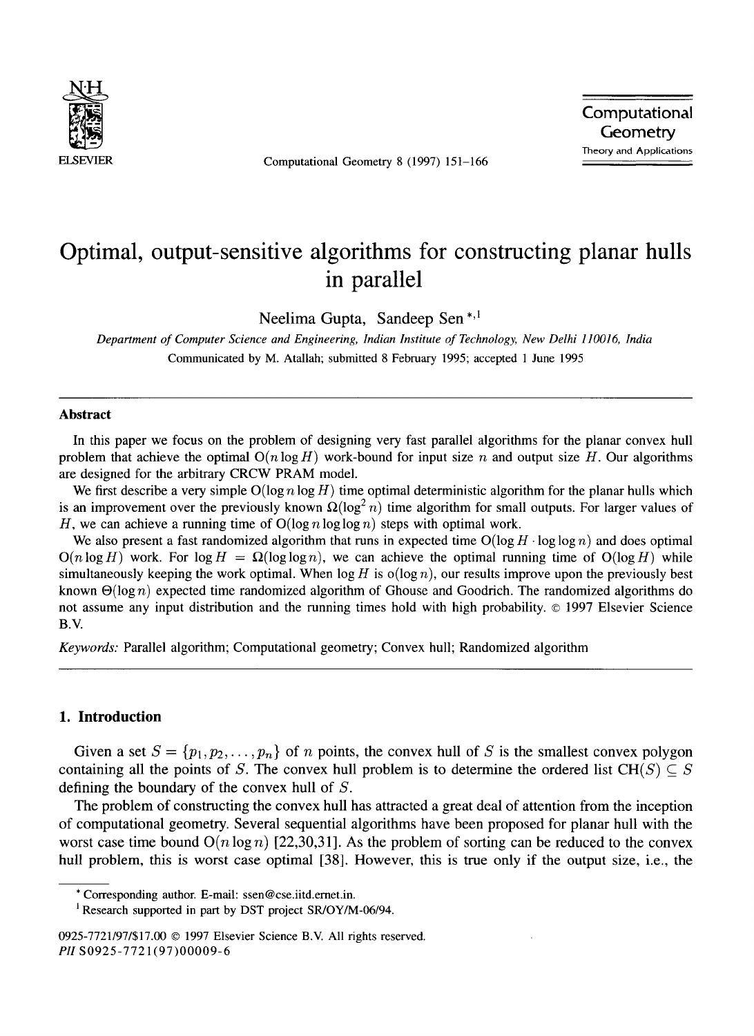

ELSEVIER Computational Geometry 8 (1997) 151-166

Computational<br>
Computational<br>
ELSEVIER Computational Geometry 8 (1997) 151–166 **Geometry** Theory and Applications

# **Optimal, output-sensitive algorithms for constructing planar hulls in parallel**

Neelima Gupta, Sandeep Sen\*,1

*Department of Computer Science and Engineering, Indian Institute of Technology, New Delhi 110016, India*  Communicated by M. Atallah; submitted 8 February 1995; accepted 1 June 1995

#### **Abstract**

In this paper we focus on the problem of designing very fast parallel algorithms for the planar convex hull problem that achieve the optimal  $O(n \log H)$  work-bound for input size n and output size H. Our algorithms are designed for the arbitrary CRCW PRAM model.

We first describe a very simple  $O(\log n \log H)$  time optimal deterministic algorithm for the planar hulls which is an improvement over the previously known  $\Omega(\log^2 n)$  time algorithm for small outputs. For larger values of H, we can achieve a running time of  $O(\log n \log \log n)$  steps with optimal work.

We also present a fast randomized algorithm that runs in expected time  $O(\log H \cdot \log \log n)$  and does optimal  $O(n \log H)$  work. For  $\log H = \Omega(\log \log n)$ , we can achieve the optimal running time of  $O(\log H)$  while simultaneously keeping the work optimal. When  $\log H$  is  $o(\log n)$ , our results improve upon the previously best known  $\Theta(\log n)$  expected time randomized algorithm of Ghouse and Goodrich. The randomized algorithms do not assume any input distribution and the running times hold with high probability. © 1997 Elsevier Science B.V.

*Keywords:* Parallel algorithm; Computational geometry; Convex hull; Randomized algorithm

## **1. Introduction**

Given a set  $S = \{p_1, p_2, \ldots, p_n\}$  of n points, the convex hull of S is the smallest convex polygon containing all the points of S. The convex hull problem is to determine the ordered list CH(S)  $\subset$  S defining the boundary of the convex hull of S.

The problem of constructing the convex hull has attracted a great deal of attention from the inception of computational geometry. Several sequential algorithms have been proposed for planar hull with the worst case time bound  $O(n \log n)$  [22,30,31]. As the problem of sorting can be reduced to the convex hull problem, this is worst case optimal [38]. However, this is true only if the output size, i.e., the

**<sup>\*</sup>** Corresponding author. E-mail: ssen@cse.iitd.emet.in.

<sup>&</sup>lt;sup>1</sup> Research supported in part by DST project SR/OY/M-06/94.

<sup>0925-7721/97/\$17.00 © 1997</sup> Elsevier Science B.V. All rights reserved. *PII* S0925-7721 (97)00009-6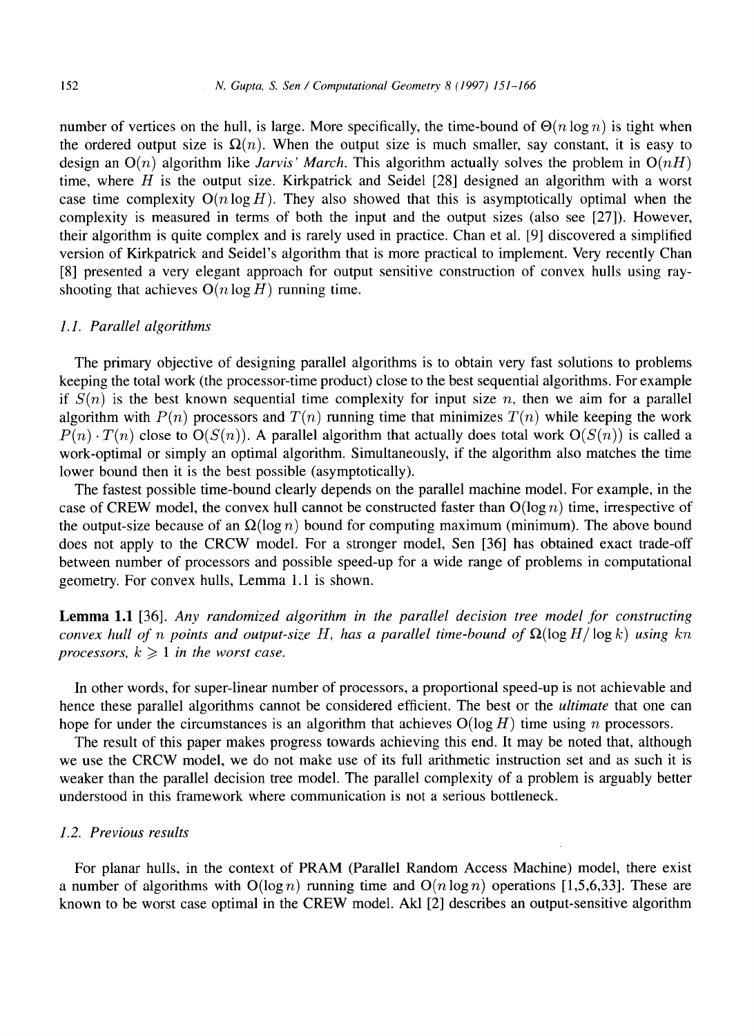number of vertices on the hull, is large. More specifically, the time-bound of  $\Theta(n \log n)$  is tight when the ordered output size is  $\Omega(n)$ . When the output size is much smaller, say constant, it is easy to design an  $O(n)$  algorithm like *Jarvis' March*. This algorithm actually solves the problem in  $O(nH)$ time, where  $H$  is the output size. Kirkpatrick and Seidel [28] designed an algorithm with a worst case time complexity  $O(n \log H)$ . They also showed that this is asymptotically optimal when the complexity is measured in terms of both the input and the output sizes (also see [27]). However, their algorithm is quite complex and is rarely used in practice. Chan et al. [9] discovered a simplified version of Kirkpatrick and Seidel's algorithm that is more practical to implement. Very recently Chan [8] presented a very elegant approach for output sensitive construction of convex hulls using rayshooting that achieves  $O(n \log H)$  running time.

#### *1.1. Parallel algorithms*

The primary objective of designing parallel algorithms is to obtain very fast solutions to problems keeping the total work (the processor-time product) close to the best sequential algorithms. For example if  $S(n)$  is the best known sequential time complexity for input size n, then we aim for a parallel algorithm with  $P(n)$  processors and  $T(n)$  running time that minimizes  $T(n)$  while keeping the work  $P(n) \cdot T(n)$  close to  $O(S(n))$ . A parallel algorithm that actually does total work  $O(S(n))$  is called a work-optimal or simply an optimal algorithm. Simultaneously, if the algorithm also matches the time lower bound then it is the best possible (asymptotically).

The fastest possible time-bound clearly depends on the parallel machine model. For example, in the case of CREW model, the convex hull cannot be constructed faster than  $O(log n)$  time, irrespective of the output-size because of an  $\Omega(\log n)$  bound for computing maximum (minimum). The above bound does not apply to the CRCW model. For a stronger model, Sen [36] has obtained exact trade-off between number of processors and possible speed-up for a wide range of problems in computational geometry. For convex hulls, Lemma 1.1 is shown.

Lemma 1.1 [36]. *Any randomized algorithm in the parallel decision tree model for constructing convex hull of n points and output-size H, has a parallel time-bound of*  $\Omega(\log H/\log k)$  *using kn processors,*  $k \geq 1$  *in the worst case.* 

In other words, for super-linear number of processors, a proportional speed-up is not achievable and hence these parallel algorithms cannot be considered efficient. The best or the *ultimate* that one can hope for under the circumstances is an algorithm that achieves  $O(log H)$  time using n processors.

The result of this paper makes progress towards achieving this end. It may be noted that, although we use the CRCW model, we do not make use of its full arithmetic instruction set and as such it is weaker than the parallel decision tree model. The parallel complexity of a problem is arguably better understood in this framework where communication is not a serious bottleneck.

#### *1.2. Previous results*

For planar hulls, in the context of PRAM (Parallel Random Access Machine) model, there exist a number of algorithms with  $O(\log n)$  running time and  $O(n \log n)$  operations [1,5,6,33]. These are known to be worst case optimal in the CREW model. Akl [2] describes an output-sensitive algorithm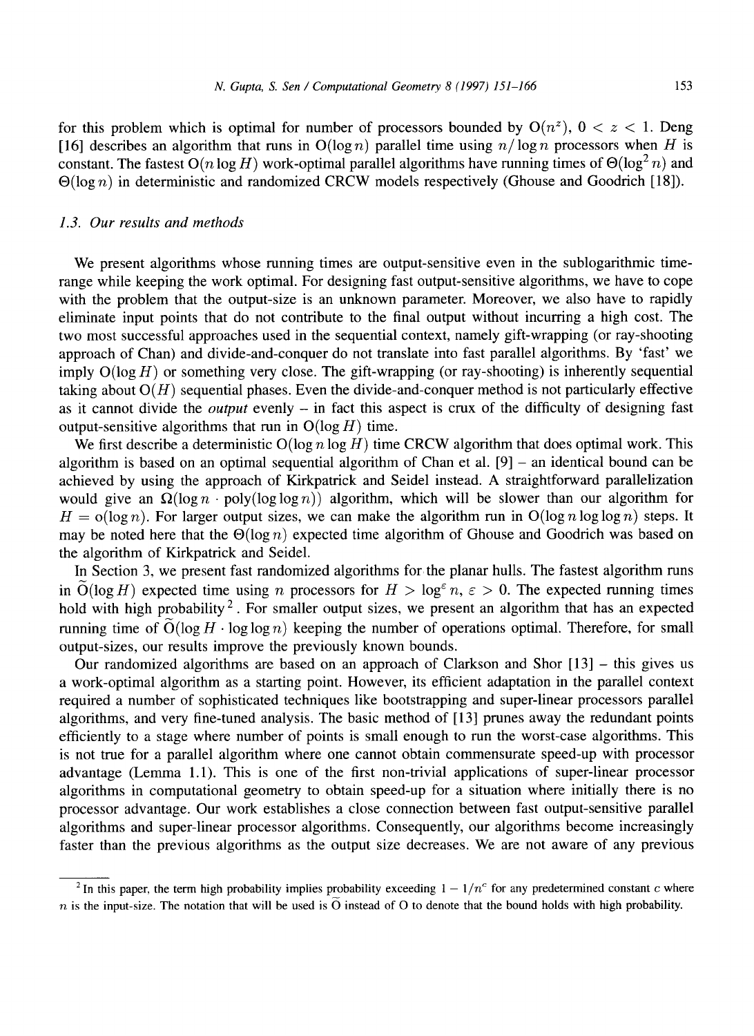for this problem which is optimal for number of processors bounded by  $O(n^2)$ ,  $0 < z < 1$ . Deng [16] describes an algorithm that runs in  $O(log n)$  parallel time using  $n/log n$  processors when H is constant. The fastest  $O(n \log H)$  work-optimal parallel algorithms have running times of  $\Theta(\log^2 n)$  and  $\Theta(\log n)$  in deterministic and randomized CRCW models respectively (Ghouse and Goodrich [18]).

#### *1.3. Our results and methods*

We present algorithms whose running times are output-sensitive even in the sublogarithmic timerange while keeping the work optimal. For designing fast output-sensitive algorithms, we have to cope with the problem that the output-size is an unknown parameter. Moreover, we also have to rapidly eliminate input points that do not contribute to the final output without incurring a high cost. The two most successful approaches used in the sequential context, namely gift-wrapping (or ray-shooting approach of Chan) and divide-and-conquer do not translate into fast parallel algorithms. By 'fast' we imply  $O(\log H)$  or something very close. The gift-wrapping (or ray-shooting) is inherently sequential taking about  $O(H)$  sequential phases. Even the divide-and-conquer method is not particularly effective as it cannot divide the *output* evenly - in fact this aspect is crux of the difficulty of designing fast output-sensitive algorithms that run in  $O(\log H)$  time.

We first describe a deterministic  $O(\log n \log H)$  time CRCW algorithm that does optimal work. This algorithm is based on an optimal sequential algorithm of Chan et al.  $[9]$  - an identical bound can be achieved by using the approach of Kirkpatrick and Seidel instead. A straightforward parallelization would give an  $\Omega(\log n \cdot \text{poly}(\log \log n))$  algorithm, which will be slower than our algorithm for  $H = o(\log n)$ . For larger output sizes, we can make the algorithm run in  $O(\log n \log \log n)$  steps. It may be noted here that the  $\Theta(\log n)$  expected time algorithm of Ghouse and Goodrich was based on the algorithm of Kirkpatrick and Seidel.

In Section 3, we present fast randomized algorithms for the planar hulls. The fastest algorithm runs in  $\tilde{O}(\log H)$  expected time using n processors for  $H > \log^{\epsilon} n$ ,  $\epsilon > 0$ . The expected running times hold with high probability<sup>2</sup>. For smaller output sizes, we present an algorithm that has an expected running time of  $O(\log H \cdot \log \log n)$  keeping the number of operations optimal. Therefore, for small output-sizes, our results improve the previously known bounds.

Our randomized algorithms are based on an approach of Clarkson and Shor [13] – this gives us a work-optimal algorithm as a starting point. However, its efficient adaptation in the parallel context required a number of sophisticated techniques like bootstrapping and super-linear processors parallel algorithms, and very fine-tuned analysis. The basic method of [13] prunes away the redundant points efficiently to a stage where number of points is small enough to run the worst-case algorithms. This is not true for a parallel algorithm where one cannot obtain commensurate speed-up with processor advantage (Lemma 1.1). This is one of the first non-trivial applications of super-linear processor algorithms in computational geometry to obtain speed-up for a situation where initially there is no processor advantage. Our work establishes a close connection between fast output-sensitive parallel algorithms and super-linear processor algorithms. Consequently, our algorithms become increasingly faster than the previous algorithms as the output size decreases. We are not aware of any previous

<sup>&</sup>lt;sup>2</sup> In this paper, the term high probability implies probability exceeding  $1 - 1/n<sup>c</sup>$  for any predetermined constant c where n is the input-size. The notation that will be used is  $\tilde{O}$  instead of O to denote that the bound holds with high probability.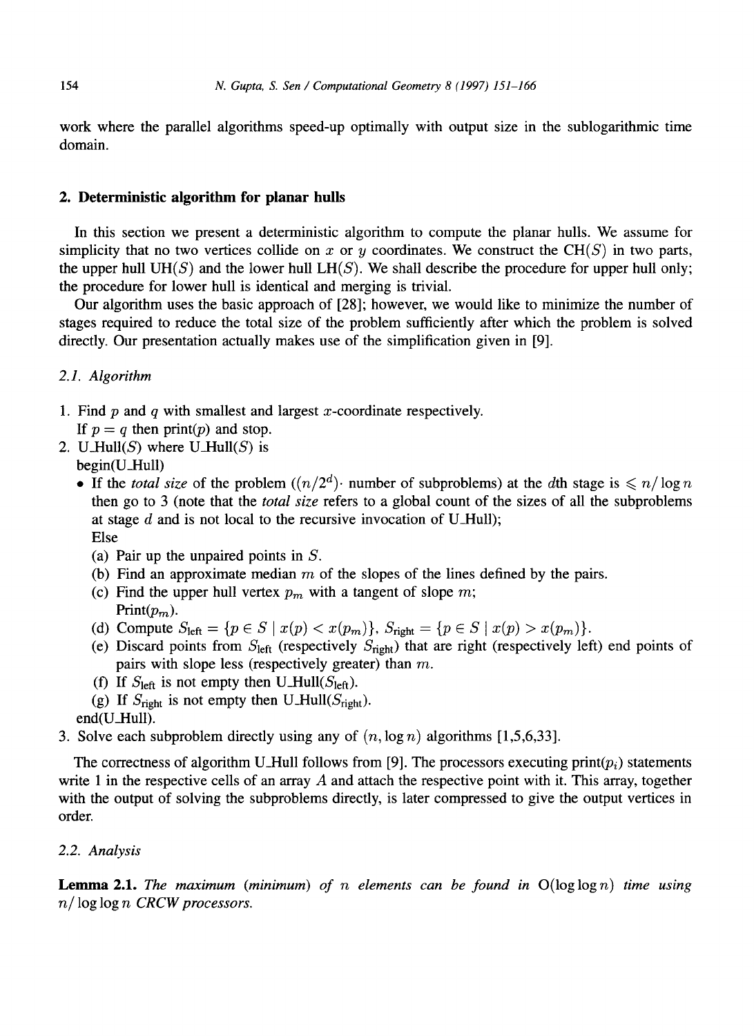work where the parallel algorithms speed-up optimally with output size in the sublogarithmic time domain.

## **2. Deterministic algorithm for planar hulls**

In this section we present a deterministic algorithm to compute the planar hulls. We assume for simplicity that no two vertices collide on x or y coordinates. We construct the CH( $S$ ) in two parts, the upper hull  $UH(S)$  and the lower hull  $LH(S)$ . We shall describe the procedure for upper hull only; the procedure for lower hull is identical and merging is trivial.

Our algorithm uses the basic approach of [28]; however, we would like to minimize the number of stages required to reduce the total size of the problem sufficiently after which the problem is solved directly. Our presentation actually makes use of the simplification given in [9].

## *2.1. Algorithm*

- 1. Find  $p$  and  $q$  with smallest and largest  $x$ -coordinate respectively. If  $p = q$  then print(p) and stop.
- 2. U\_Hull(S) where U\_Hull(S) is
	- begin(U\_Hull)
	- If the *total size* of the problem  $((n/2^d)$  number of subproblems) at the dth stage is  $\leq n/\log n$ then go to 3 (note that the *total size* refers to a global count of the sizes of all the subproblems at stage  $d$  and is not local to the recursive invocation of U\_Hull); Else
		- (a) Pair up the unpaired points in S.
		- (b) Find an approximate median  $m$  of the slopes of the lines defined by the pairs.
		- (c) Find the upper hull vertex  $p_m$  with a tangent of slope m; Print $(p_m)$ .
		- (d) Compute  $S_{\text{left}} = \{p \in S \mid x(p) < x(p_m)\}, S_{\text{right}} = \{p \in S \mid x(p) > x(p_m)\}.$
		- (e) Discard points from  $S_{\text{left}}$  (respectively  $S_{\text{right}}$ ) that are right (respectively left) end points of pairs with slope less (respectively greater) than  $m$ .
		- (f) If  $S_{\text{left}}$  is not empty then U\_Hull( $S_{\text{left}}$ ).
		- (g) If  $S_{\text{right}}$  is not empty then U-Hull( $S_{\text{right}}$ ).
	- end(U\_Hull).
- 3. Solve each subproblem directly using any of  $(n, \log n)$  algorithms [1,5,6,33].

The correctness of algorithm U\_Hull follows from [9]. The processors executing print( $p_i$ ) statements write 1 in the respective cells of an array  $\ddot{A}$  and attach the respective point with it. This array, together with the output of solving the subproblems directly, is later compressed to give the output vertices in order.

## *2.2. Analysis*

Lemma 2.1. *The maximum (minimum) of n elements can be found in* O(loglogn) *time using n / log* log *n CRCW processors.*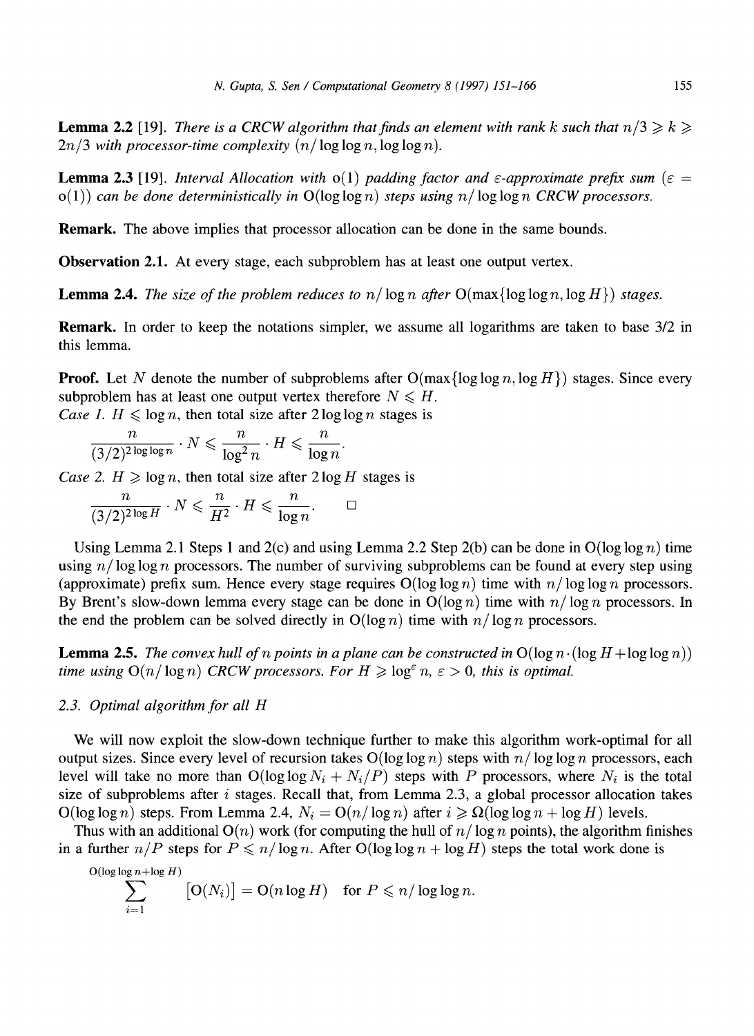**Lemma 2.2** [19]. *There is a CRCW algorithm that finds an element with rank k such that*  $n/3 \geq k \geq$ *...*  $2n/3$  with processor-time complexity  $(n/\log \log n, \log \log n)$ .

**Lemma 2.3** [19]. *Interval Allocation with*  $o(1)$  *padding factor and*  $\varepsilon$ *-approximate prefix sum* ( $\varepsilon$  =  $o(1)$  *can be done deterministically in*  $O(\log \log n)$  *steps using n/*  $\log \log n$  *CRCW processors.* 

Remark. The above implies that processor allocation can be done in the same bounds.

Observation 2.1. At every stage, each subproblem has at least one output vertex.

**Lemma 2.4.** *The size of the problem reduces to n*/ $\log n$  *after*  $O(\max{\log \log n, \log H})$  *stages.* 

Remark. In order to keep the notations simpler, we assume all logarithms are taken to base 3/2 in this lemma.

**Proof.** Let N denote the number of subproblems after  $O(max\{log \log n, log H\})$  stages. Since every subproblem has at least one output vertex therefore  $N \leq H$ .

*Case 1.*  $H \leq \log n$ , then total size after 2 log log n stages is

$$
\frac{n}{(3/2)^{2\log\log n}}\cdot N\leqslant \frac{n}{\log^2 n}\cdot H\leqslant \frac{n}{\log n}.
$$

*Case 2. H*  $\geq$  *log n, then total size after 2 log H stages is* 

$$
\frac{n}{(3/2)^{2\log H}}\cdot N\leqslant \frac{n}{H^2}\cdot H\leqslant \frac{n}{\log n}.\qquad \Box
$$

Using Lemma 2.1 Steps 1 and 2(c) and using Lemma 2.2 Step 2(b) can be done in  $O(\log \log n)$  time using  $n/\log \log n$  processors. The number of surviving subproblems can be found at every step using (approximate) prefix sum. Hence every stage requires  $O(\log \log n)$  time with  $n/\log \log n$  processors. By Brent's slow-down lemma every stage can be done in  $O(\log n)$  time with  $n/\log n$  processors. In the end the problem can be solved directly in  $O(\log n)$  time with  $n/\log n$  processors.

**Lemma 2.5.** *The convex hull of n points in a plane can be constructed in*  $O(\log n \cdot (\log H + \log \log n))$ *time using*  $O(n/\log n)$  *CRCW processors. For*  $H \geq \log^{\epsilon} n$ ,  $\epsilon > 0$ *, this is optimal.* 

#### *2.3. Optimal algorithm for all H*

We will now exploit the slow-down technique further to make this algorithm work-optimal for all output sizes. Since every level of recursion takes  $O(\log \log n)$  steps with  $n/\log \log n$  processors, each level will take no more than  $O(\log \log N_i + N_i/P)$  steps with P processors, where  $N_i$  is the total size of subproblems after  $i$  stages. Recall that, from Lemma 2.3, a global processor allocation takes  $O(\log \log n)$  steps. From Lemma 2.4,  $N_i = O(n/\log n)$  after  $i \geqslant \Omega(\log \log n + \log H)$  levels.

Thus with an additional  $O(n)$  work (for computing the hull of  $n/\log n$  points), the algorithm finishes in a further  $n/P$  steps for  $P \leq n/\log n$ . After  $O(\log \log n + \log H)$  steps the total work done is

$$
\sum_{i=1}^{O(\log\log n + \log H)} \left[O(N_i)\right] = O(n \log H) \quad \text{for } P \leqslant n/\log\log n.
$$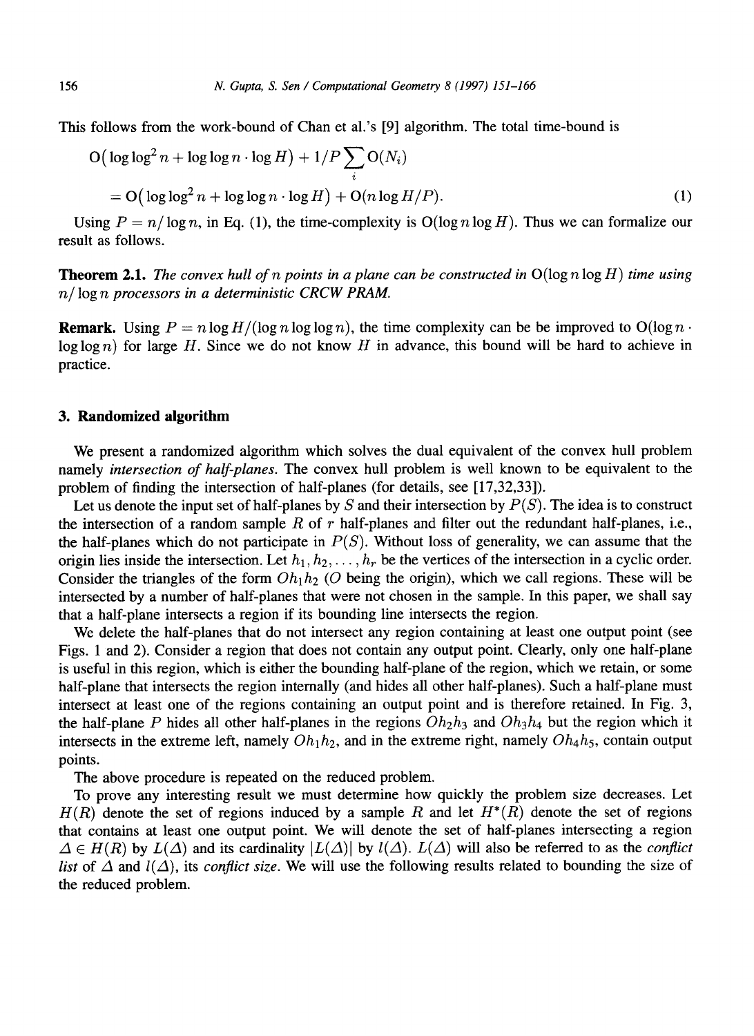This follows from the work-bound of Chan et al.'s [9] algorithm. The total time-bound is

$$
O\left(\log\log^2 n + \log\log n \cdot \log H\right) + 1/P \sum_{i} O(N_i)
$$
  
= O\left(\log\log^2 n + \log\log n \cdot \log H\right) + O(n \log H/P). (1)

Using  $P = n/\log n$ , in Eq. (1), the time-complexity is  $O(\log n \log H)$ . Thus we can formalize our result as follows.

**Theorem** 2.1. *The convex hull of n points in a plane can be constructed in* O(log n log *H) time using n/ log n processors in a deterministic CRCW PRAM.* 

**Remark.** Using  $P = n \log H/(\log n \log \log n)$ , the time complexity can be be improved to  $O(\log n \cdot$ log log n) for large H. Since we do not know H in advance, this bound will be hard to achieve in practice.

## **3. Randomized algorithm**

We present a randomized algorithm which solves the dual equivalent of the convex hull problem namely *intersection of half-planes.* The convex hull problem is well known to be equivalent to the problem of finding the intersection of half-planes (for details, see [17,32,33]).

Let us denote the input set of half-planes by  $S$  and their intersection by  $P(S)$ . The idea is to construct the intersection of a random sample R of  $r$  half-planes and filter out the redundant half-planes, i.e., the half-planes which do not participate in  $P(S)$ . Without loss of generality, we can assume that the origin lies inside the intersection. Let  $h_1, h_2, \ldots, h_r$  be the vertices of the intersection in a cyclic order. Consider the triangles of the form  $Oh<sub>1</sub>h<sub>2</sub>$  (O being the origin), which we call regions. These will be intersected by a number of half-planes that were not chosen in the sample. In this paper, we shall say that a half-plane intersects a region if its bounding line intersects the region.

We delete the half-planes that do not intersect any region containing at least one output point (see Figs. 1 and 2). Consider a region that does not contain any output point. Clearly, only one half-plane is useful in this region, which is either the bounding half-plane of the region, which we retain, or some half-plane that intersects the region internally (and hides all other half-planes). Such a half-plane must intersect at least one of the regions containing an output point and is therefore retained. In Fig. 3, the half-plane P hides all other half-planes in the regions  $Oh_2h_3$  and  $Oh_3h_4$  but the region which it intersects in the extreme left, namely  $Oh_1h_2$ , and in the extreme right, namely  $Oh_4h_5$ , contain output points.

The above procedure is repeated on the reduced problem.

To prove any interesting result we must determine how quickly the problem size decreases. Let  $H(R)$  denote the set of regions induced by a sample R and let  $H^*(R)$  denote the set of regions that contains at least one output point. We will denote the set of half-planes intersecting a region  $\Delta \in H(R)$  by  $L(\Delta)$  and its cardinality  $|L(\Delta)|$  by  $l(\Delta)$ .  $L(\Delta)$  will also be referred to as the *conflict list* of  $\Delta$  and  $l(\Delta)$ , its *conflict size*. We will use the following results related to bounding the size of the reduced problem.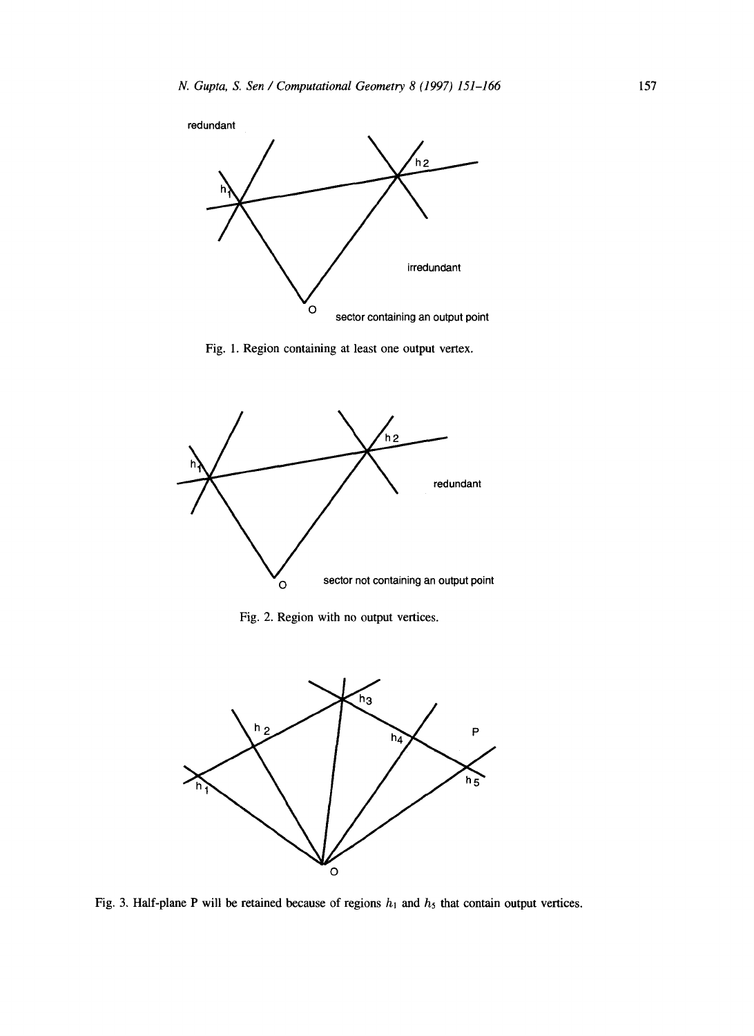

Fig. 1. Region containing at least one output vertex.



Fig. 2. Region with no output vertices.



Fig. 3. Half-plane P will be retained because of regions  $h_1$  and  $h_5$  that contain output vertices.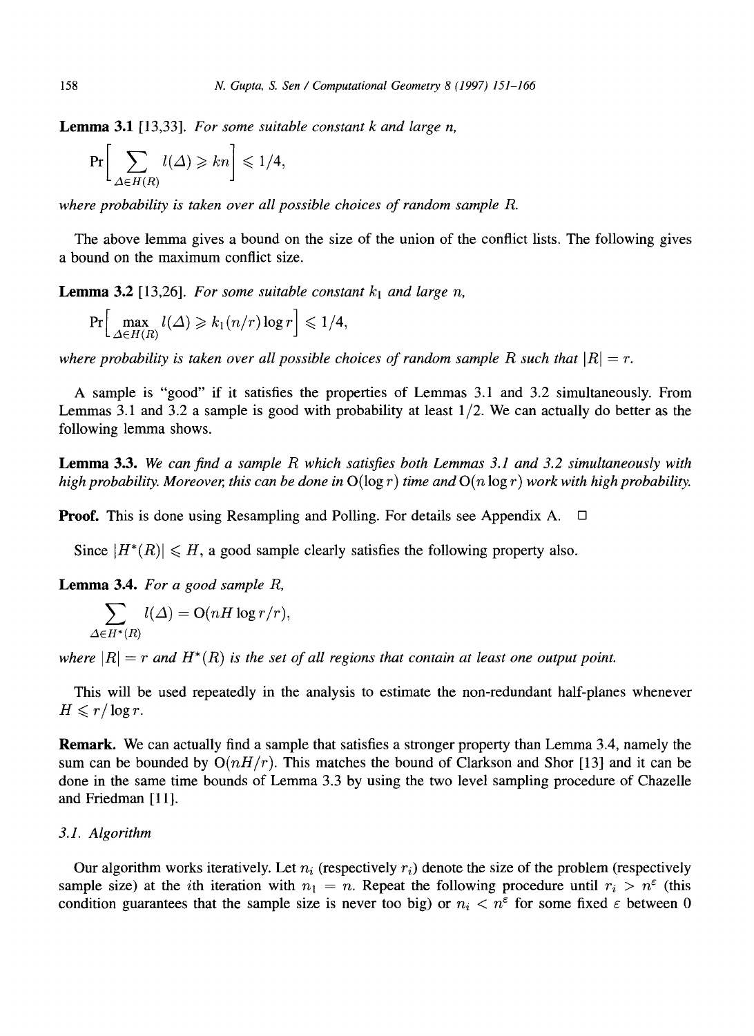Lemma 3.1 [13,33]. *For some suitable constant k and large n,* 

$$
\Pr\bigg[\sum_{\Delta \in H(R)} l(\Delta) \geqslant kn\bigg] \leqslant 1/4,
$$

*where probability is taken over all possible choices of random sample R.* 

The above lemma gives a bound on the size of the union of the conflict lists. The following gives a bound on the maximum conflict size.

**Lemma 3.2** [13,26]. For some suitable constant  $k_1$  and large n,

$$
\Pr\Big[\max_{\Delta\in H(R)}l(\Delta)\geqslant k_1(n/r)\log r\Big]\leqslant 1/4,
$$

*where probability is taken over all possible choices of random sample R such that*  $|R| = r$ .

A sample is "good" if it satisfies the properties of Lemmas 3.1 and 3.2 simultaneously. From Lemmas 3.1 and 3.2 a sample is good with probability at least  $1/2$ . We can actually do better as the following lemma shows.

Lemma 3.3. *We can find a sample R which satisfies both Lemmas 3.1 and 3.2 simultaneously with high probability. Moreover, this can be done in*  $O(\log r)$  *time and*  $O(n \log r)$  work with high probability.

**Proof.** This is done using Resampling and Polling. For details see Appendix A.  $\Box$ 

Since  $|H^*(R)| \leq H$ , a good sample clearly satisfies the following property also.

Lemma 3.4. *For a good sample R,* 

$$
\sum_{\Delta \in H^*(R)} l(\Delta) = \operatorname{O}(nH \log r/r).
$$

where  $|R| = r$  and  $H^*(R)$  is the set of all regions that contain at least one output point.

This will be used repeatedly in the analysis to estimate the non-redundant half-planes whenever  $H \leqslant r/\log r$ .

Remark. We can actually find a sample that satisfies a stronger property than Lemma 3.4, namely the sum can be bounded by  $O(nH/r)$ . This matches the bound of Clarkson and Shor [13] and it can be done in the same time bounds of Lemma 3.3 by using the two level sampling procedure of Chazelle and Friedman [11].

## *3.1. Algorithm*

Our algorithm works iteratively. Let  $n_i$  (respectively  $r_i$ ) denote the size of the problem (respectively sample size) at the *i*th iteration with  $n_1 = n$ . Repeat the following procedure until  $r_i > n^{\epsilon}$  (this condition guarantees that the sample size is never too big) or  $n_i < n^{\epsilon}$  for some fixed  $\epsilon$  between 0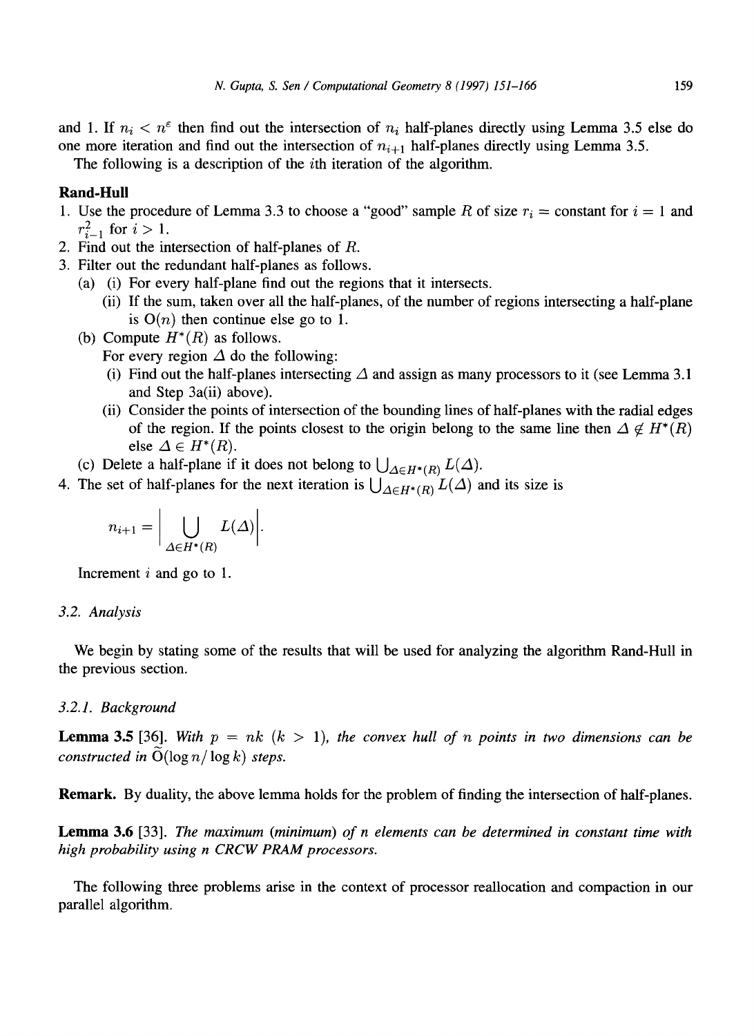and 1. If  $n_i < n^{\epsilon}$  then find out the intersection of  $n_i$  half-planes directly using Lemma 3.5 else do one more iteration and find out the intersection of  $n_{i+1}$  half-planes directly using Lemma 3.5.

The following is a description of the *i*th iteration of the algorithm.

## **Rand-Hull**

- 1. Use the procedure of Lemma 3.3 to choose a "good" sample R of size  $r_i$  = constant for  $i = 1$  and  $r_{i-1}^2$  for  $i>1$ .
- 2. Find out the intersection of half-planes of R.
- 3. Filter out the redundant half-planes as follows.
	- (a) (i) For every half-plane find out the regions that it intersects.
		- (ii) If the sum, taken over all the half-planes, of the number of regions intersecting a half-plane is  $O(n)$  then continue else go to 1.
	- (b) Compute  $H^*(R)$  as follows.
		- For every region  $\Delta$  do the following:
		- (i) Find out the half-planes intersecting  $\Delta$  and assign as many processors to it (see Lemma 3.1) and Step 3a(ii) above).
		- (ii) Consider the points of intersection of the bounding lines of half-planes with the radial edges of the region. If the points closest to the origin belong to the same line then  $\Delta \notin H^*(R)$ else  $\Delta \in H^*(R)$ .
	- (c) Delete a half-plane if it does not belong to  $\bigcup_{\Delta \in H^*(R)} L(\Delta)$ .
- 4. The set of half-planes for the next iteration is  $\bigcup_{\Delta \in H^*(R)} L(\Delta)$  and its size is

$$
n_{i+1} = \bigg|\bigcup_{\Delta \in H^*(R)} L(\Delta)\bigg|.
$$

Increment  $i$  and go to 1.

#### *3.2. Analysis*

We begin by stating some of the results that will be used for analyzing the algorithm Rand-Hull in the previous section.

#### *3.2.1. Background*

**Lemma 3.5** [36]. With  $p = nk$  ( $k > 1$ ), the convex hull of n points in two dimensions can be *constructed in*  $O(\log n / \log k)$  *steps.* 

Remark. By duality, the above lemma holds for the problem of finding the intersection of half-planes.

Lemma 3.6 [33]. *The maximum (minimum) of n elements can be determined in constant time with high probability using n CRCW PRAM processors.* 

The following three problems arise in the context of processor reallocation and compaction in our parallel algorithm.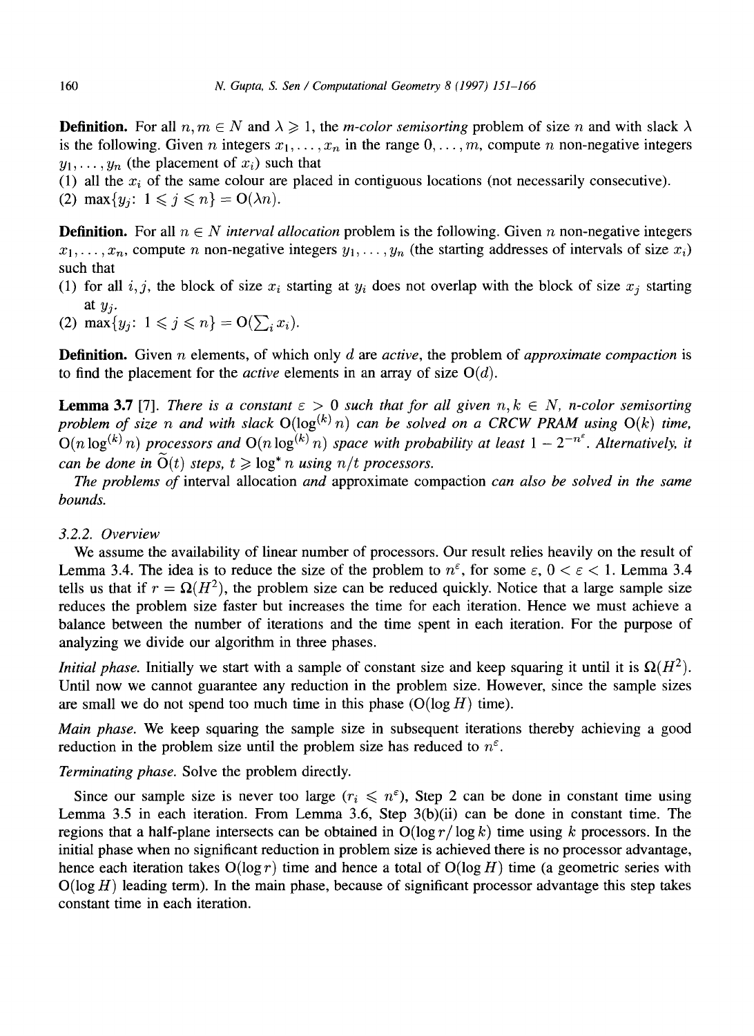**Definition.** For all  $n, m \in N$  and  $\lambda \ge 1$ , the *m-color semisorting* problem of size n and with slack  $\lambda$ is the following. Given n integers  $x_1, \ldots, x_n$  in the range  $0, \ldots, m$ , compute n non-negative integers  $y_1, \ldots, y_n$  (the placement of  $x_i$ ) such that

(1) all the  $x_i$  of the same colour are placed in contiguous locations (not necessarily consecutive). (2) max $\{y_j: 1 \leq j \leq n\} = O(\lambda n)$ .

**Definition.** For all  $n \in N$  *interval allocation* problem is the following. Given n non-negative integers  $x_1, \ldots, x_n$ , compute n non-negative integers  $y_1, \ldots, y_n$  (the starting addresses of intervals of size  $x_i$ ) such that

(1) for all i, j, the block of size  $x_i$  starting at  $y_i$  does not overlap with the block of size  $x_j$  starting at *yj.* 

(2)  $\max\{y_i: 1 \leq j \leq n\} = O(\sum_i x_i).$ 

Definition. Given n elements, of which only *d are active,* the problem of *approximate compaction* is to find the placement for the *active* elements in an array of size  $O(d)$ .

**Lemma 3.7** [7]. *There is a constant*  $\varepsilon > 0$  such that for all given  $n, k \in N$ , *n*-color semisorting *problem of size n and with slack*  $O(log^{(k)} n)$  *can be solved on a CRCW PRAM using*  $O(k)$  *time,*  $O(n \log^{(k)} n)$  processors and  $O(n \log^{(k)} n)$  space with probability at least  $1 - 2^{-n^{\epsilon}}$ . Alternatively, it *can be done in*  $\widetilde{O}(t)$  *steps, t*  $\geq$   $\log^* n$  *using n/t processors.* 

*The problems of* interval allocation *and* approximate compaction *can also be solved in the same bounds.* 

#### *3.2.2. Overview*

We assume the availability of linear number of processors. Our result relies heavily on the result of Lemma 3.4. The idea is to reduce the size of the problem to  $n^{\epsilon}$ , for some  $\epsilon$ ,  $0 < \epsilon < 1$ . Lemma 3.4 tells us that if  $r = \Omega(H^2)$ , the problem size can be reduced quickly. Notice that a large sample size reduces the problem size faster but increases the time for each iteration. Hence we must achieve a balance between the number of iterations and the time spent in each iteration. For the purpose of analyzing we divide our algorithm in three phases.

*Initial phase.* Initially we start with a sample of constant size and keep squaring it until it is  $\Omega(H^2)$ . Until now we cannot guarantee any reduction in the problem size. However, since the sample sizes are small we do not spend too much time in this phase  $(O(\log H)$  time).

*Main phase.* We keep squaring the sample size in subsequent iterations thereby achieving a good reduction in the problem size until the problem size has reduced to  $n^{\epsilon}$ .

*Terminating phase.* Solve the problem directly.

Since our sample size is never too large  $(r_i \leq r^{\epsilon})$ , Step 2 can be done in constant time using Lemma 3.5 in each iteration. From Lemma 3.6, Step 3(b)(ii) can be done in constant time. The regions that a half-plane intersects can be obtained in  $O(\log r / \log k)$  time using k processors. In the initial phase when no significant reduction in problem size is achieved there is no processor advantage, hence each iteration takes  $O(\log r)$  time and hence a total of  $O(\log H)$  time (a geometric series with  $O(log H)$  leading term). In the main phase, because of significant processor advantage this step takes constant time in each iteration.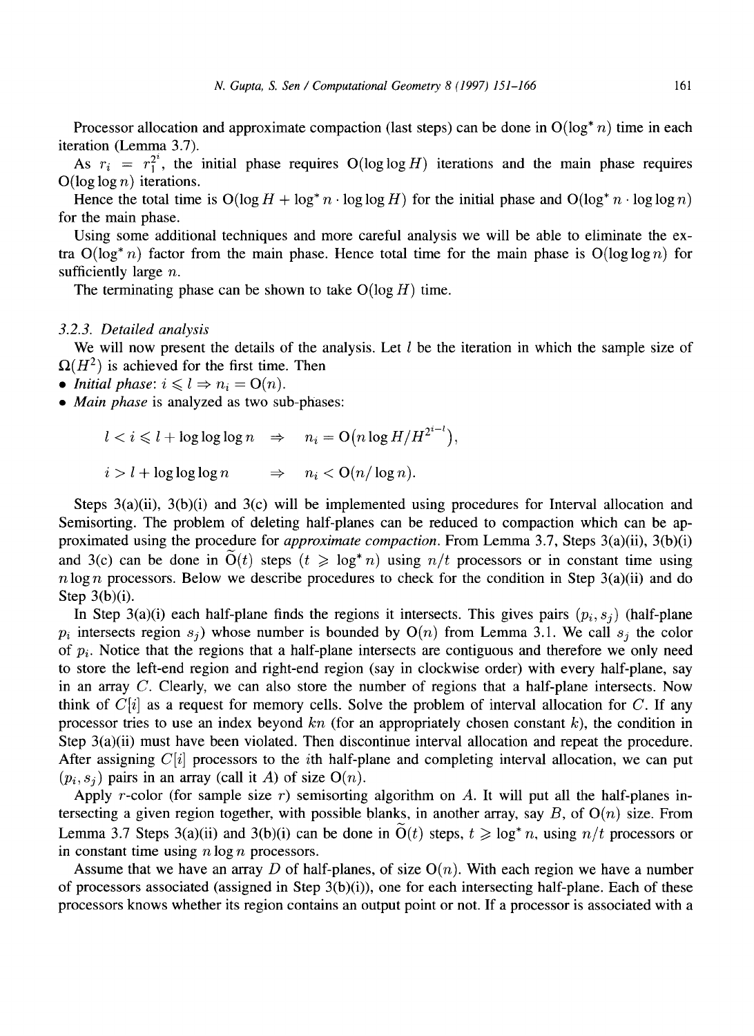Processor allocation and approximate compaction (last steps) can be done in  $O(log^* n)$  time in each iteration (Lemma 3.7).

As  $r_i = r_1^{2^i}$ , the initial phase requires O(loglog H) iterations and the main phase requires  $O(\log \log n)$  iterations.

Hence the total time is  $O(\log H + \log^* n \cdot \log \log H)$  for the initial phase and  $O(\log^* n \cdot \log \log n)$ for the main phase.

Using some additional techniques and more careful analysis we will be able to eliminate the extra  $O(log^* n)$  factor from the main phase. Hence total time for the main phase is  $O(log log n)$  for sufficiently large *n*.

The terminating phase can be shown to take  $O(\log H)$  time.

#### *3.2.3. Detailed analysis*

We will now present the details of the analysis. Let  $l$  be the iteration in which the sample size of  $\Omega(H^2)$  is achieved for the first time. Then

- *Initial phase:*  $i \leq l \Rightarrow n_i = O(n)$ .
- *Main phase* is analyzed as two sub-phases:
	- $l < i \leq l + \log \log \log n \Rightarrow n_i = O(n \log H/H^{2^{i-l}}),$  $i > l + \log \log \log n \Rightarrow n_i < O(n/\log n).$

Steps  $3(a)(ii)$ ,  $3(b)(i)$  and  $3(c)$  will be implemented using procedures for Interval allocation and Semisorting. The problem of deleting half-planes can be reduced to compaction which can be approximated using the procedure for *approximate compaction.* From Lemma 3.7, Steps 3(a)(ii), 3(b)(i) and 3(c) can be done in  $O(t)$  steps  $(t \geq \log^* n)$  using  $n/t$  processors or in constant time using  $n \log n$  processors. Below we describe procedures to check for the condition in Step  $3(a)(ii)$  and do Step  $3(b)(i)$ .

In Step 3(a)(i) each half-plane finds the regions it intersects. This gives pairs  $(p_i, s_j)$  (half-plane  $p_i$  intersects region  $s_j$ ) whose number is bounded by  $O(n)$  from Lemma 3.1. We call  $s_j$  the color of *Pi.* Notice that the regions that a half-plane intersects are contiguous and therefore we only need to store the left-end region and right-end region (say in clockwise order) with every half-plane, say in an array  $C$ . Clearly, we can also store the number of regions that a half-plane intersects. Now think of  $C[i]$  as a request for memory cells. Solve the problem of interval allocation for C. If any processor tries to use an index beyond  $kn$  (for an appropriately chosen constant  $k$ ), the condition in Step 3(a)(ii) must have been violated. Then discontinue interval allocation and repeat the procedure. After assigning  $C[i]$  processors to the *i*th half-plane and completing interval allocation, we can put  $(p_i, s_j)$  pairs in an array (call it A) of size  $O(n)$ .

Apply r-color (for sample size r) semisorting algorithm on A. It will put all the half-planes intersecting a given region together, with possible blanks, in another array, say  $B$ , of  $O(n)$  size. From Lemma 3.7 Steps 3(a)(ii) and 3(b)(i) can be done in  $O(t)$  steps,  $t \ge log^* n$ , using  $n/t$  processors or in constant time using  $n \log n$  processors.

Assume that we have an array D of half-planes, of size  $O(n)$ . With each region we have a number of processors associated (assigned in Step  $3(b)(i)$ ), one for each intersecting half-plane. Each of these processors knows whether its region contains an output point or not. If a processor is associated with a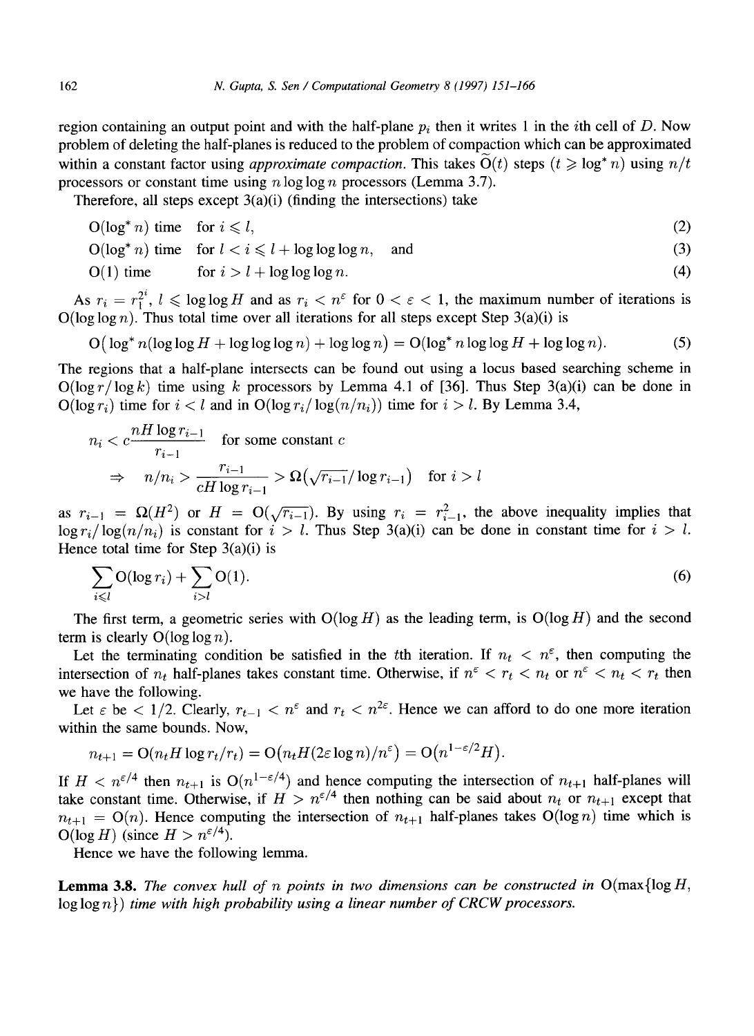region containing an output point and with the half-plane  $p_i$  then it writes 1 in the *i*th cell of D. Now problem of deleting the half-planes is reduced to the problem of compaction which can be approximated within a constant factor using *approximate compaction*. This takes  $O(t)$  steps  $(t \geq \log^* n)$  using  $n/t$ processors or constant time using  $n \log \log n$  processors (Lemma 3.7).

Therefore, all steps except  $3(a)(i)$  (finding the intersections) take

$$
O(\log^* n) \text{ time} \quad \text{for } i \leq l,
$$
\n<sup>(2)</sup>

 $O(\log^* n)$  time for  $l < i \leq l + \log \log \log n$ , and (3)

$$
O(1) \text{ time} \qquad \text{for } i > l + \log \log \log n. \tag{4}
$$

As  $r_i = r_i^{2^i}$ ,  $l \leq \log \log H$  and as  $r_i < n^{\epsilon}$  for  $0 < \epsilon < 1$ , the maximum number of iterations is  $O(\log \log n)$ . Thus total time over all iterations for all steps except Step 3(a)(i) is

$$
O(\log^* n(\log \log H + \log \log \log n) + \log \log n) = O(\log^* n \log \log H + \log \log n). \tag{5}
$$

The regions that a half-plane intersects can be found out using a locus based searching scheme in  $O(\log r / \log k)$  time using k processors by Lemma 4.1 of [36]. Thus Step 3(a)(i) can be done in  $O(\log r_i)$  time for  $i < l$  and in  $O(\log r_i / \log(n/n_i))$  time for  $i > l$ . By Lemma 3.4,

$$
n_i < c \frac{nH \log r_{i-1}}{r_{i-1}} \quad \text{for some constant } c
$$
\n
$$
\Rightarrow \quad n/n_i > \frac{r_{i-1}}{cH \log r_{i-1}} > \Omega\left(\sqrt{r_{i-1}}/\log r_{i-1}\right) \quad \text{for } i > l
$$

as  $r_{i-1} = \Omega(H^2)$  or  $H = O(\sqrt{r_{i-1}})$ . By using  $r_i = r_{i-1}^2$ , the above inequality implies that  $log r_i / log(n/n_i)$  is constant for  $i > l$ . Thus Step 3(a)(i) can be done in constant time for  $i > l$ . Hence total time for Step  $3(a)(i)$  is

$$
\sum_{i \leq l} \mathcal{O}(\log r_i) + \sum_{i > l} \mathcal{O}(1). \tag{6}
$$

The first term, a geometric series with  $O(log H)$  as the leading term, is  $O(log H)$  and the second term is clearly  $O(\log \log n)$ .

Let the terminating condition be satisfied in the tth iteration. If  $n_t < n^{\epsilon}$ , then computing the intersection of  $n_t$  half-planes takes constant time. Otherwise, if  $n^{\epsilon} < r_t < n_t$  or  $n^{\epsilon} < n_t < r_t$  then we have the following.

Let  $\varepsilon$  be  $\lt 1/2$ . Clearly,  $r_{t-1} \lt n^{\varepsilon}$  and  $r_t \lt n^{2\varepsilon}$ . Hence we can afford to do one more iteration within the same bounds. Now,

$$
n_{t+1} = O(n_t H \log r_t/r_t) = O(n_t H(2\varepsilon \log n)/n^{\varepsilon}) = O(n^{1-\varepsilon/2}H).
$$

If  $H < n^{\epsilon/4}$  then  $n_{t+1}$  is  $O(n^{1-\epsilon/4})$  and hence computing the intersection of  $n_{t+1}$  half-planes will take constant time. Otherwise, if  $H > n^{\epsilon/4}$  then nothing can be said about  $n_t$  or  $n_{t+1}$  except that  $n_{t+1} = O(n)$ . Hence computing the intersection of  $n_{t+1}$  half-planes takes  $O(\log n)$  time which is  $O(\log H)$  (since  $H > n^{\epsilon/4}$ ).

Hence we have the following lemma.

**Lemma 3.8.** *The convex hull of n points in two dimensions can be constructed in*  $O(max\log H$ ,  $log log n$ ) *time with high probability using a linear number of CRCW processors.*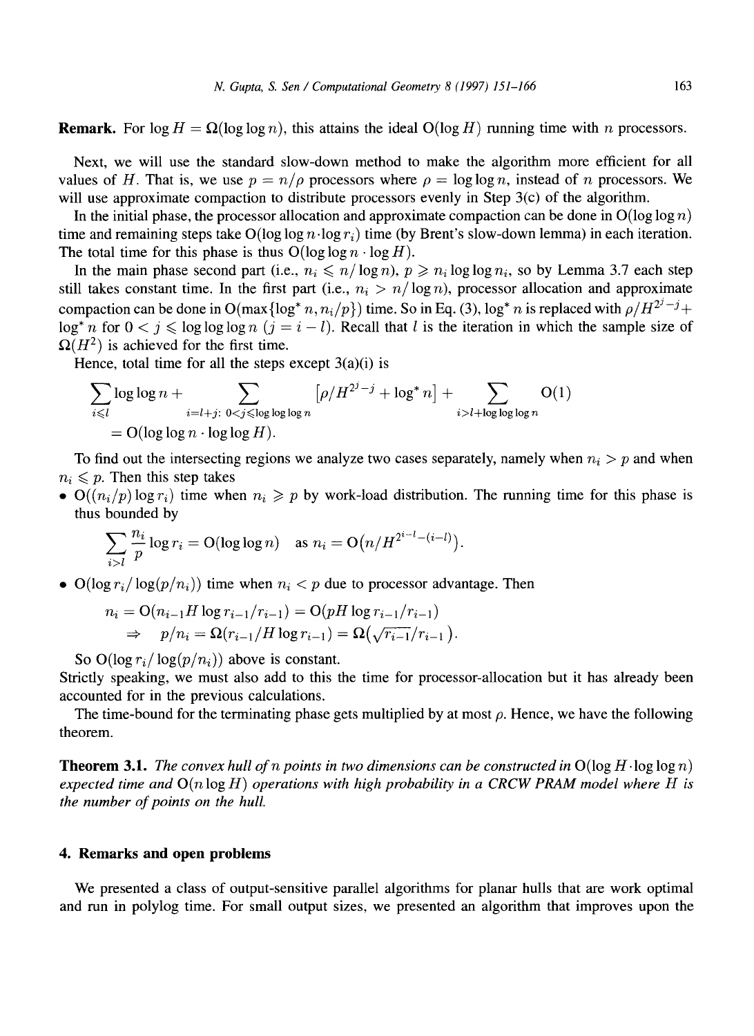**Remark.** For  $\log H = \Omega(\log \log n)$ , this attains the ideal  $O(\log H)$  running time with n processors.

Next, we will use the standard slow-down method to make the algorithm more efficient for all values of H. That is, we use  $p = n/\rho$  processors where  $\rho = \log \log n$ , instead of n processors. We will use approximate compaction to distribute processors evenly in Step 3(c) of the algorithm.

In the initial phase, the processor allocation and approximate compaction can be done in  $O(\log \log n)$ time and remaining steps take  $O(\log \log n \cdot \log r_i)$  time (by Brent's slow-down lemma) in each iteration. The total time for this phase is thus  $O(\log \log n \cdot \log H)$ .

In the main phase second part (i.e.,  $n_i \le n/\log n$ ),  $p \ge n_i \log \log n_i$ , so by Lemma 3.7 each step still takes constant time. In the first part (i.e.,  $n_i > n/\log n$ ), processor allocation and approximate compaction can be done in O(max $\{\log^* n, n_i/p\}$ ) time. So in Eq. (3),  $\log^* n$  is replaced with  $\rho/H^{2^j-j}+$  $\log^* n$  for  $0 \le j \le \log \log \log n$   $(j = i - l)$ . Recall that l is the iteration in which the sample size of  $\Omega(H^2)$  is achieved for the first time.

Hence, total time for all the steps except  $3(a)(i)$  is

$$
\sum_{i \le l} \log \log n + \sum_{i=l+j: 0 < j \le \log \log \log n} \left[ \rho / H^{2^j - j} + \log^* n \right] + \sum_{i > l + \log \log \log n} O(1)
$$
  
= O(\log \log n \cdot \log \log H).

To find out the intersecting regions we analyze two cases separately, namely when  $n_i > p$  and when  $n_i \leqslant p$ . Then this step takes

•  $O((n_i/p) \log r_i)$  time when  $n_i \geq p$  by work-load distribution. The running time for this phase is thus bounded by

$$
\sum_{i>l} \frac{n_i}{p} \log r_i = O(\log \log n) \quad \text{as } n_i = O\big(n/H^{2^{i-l}-(i-l)}\big).
$$

•  $O(\log r_i / \log(p/n_i))$  time when  $n_i < p$  due to processor advantage. Then

$$
n_i = O(n_{i-1}H \log r_{i-1}/r_{i-1}) = O(pH \log r_{i-1}/r_{i-1})
$$
  
\n
$$
\Rightarrow p/n_i = \Omega(r_{i-1}/H \log r_{i-1}) = \Omega(\sqrt{r_{i-1}}/r_{i-1}).
$$

So  $O(\log r_i/\log(p/n_i))$  above is constant.

Strictly speaking, we must also add to this the time for processor-allocation but it has already been accounted for in the previous calculations.

The time-bound for the terminating phase gets multiplied by at most  $\rho$ . Hence, we have the following theorem.

**Theorem 3.1.** *The convex hull of n points in two dimensions can be constructed in*  $O(\log H \cdot \log \log n)$ *expected time and*  $O(n \log H)$  *operations with high probability in a CRCW PRAM model where H is the number of points on the hull.* 

## **4. Remarks and open problems**

We presented a class of output-sensitive parallel algorithms for planar hulls that are work optimal and run in polylog time. For small output sizes, we presented an algorithm that improves upon the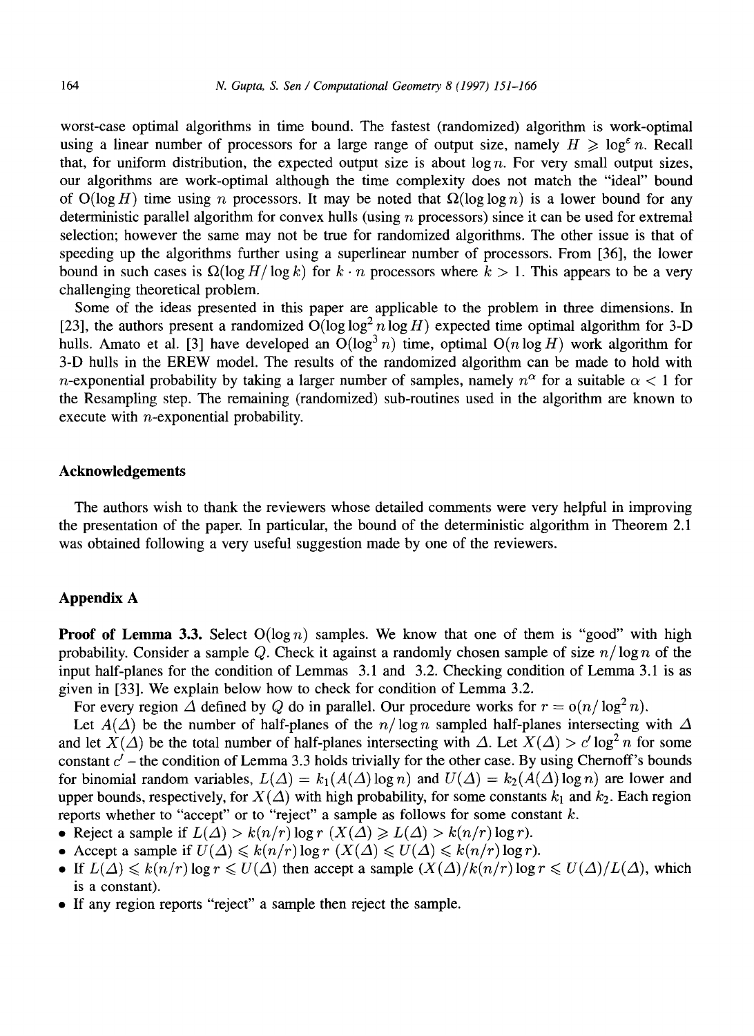worst-case optimal algorithms in time bound. The fastest (randomized) algorithm is work-optimal using a linear number of processors for a large range of output size, namely  $H \geq \log^{\epsilon} n$ . Recall that, for uniform distribution, the expected output size is about  $\log n$ . For very small output sizes, our algorithms are work-optimal although the time complexity does not match the "ideal" bound of  $O(log H)$  time using n processors. It may be noted that  $\Omega(log log n)$  is a lower bound for any deterministic parallel algorithm for convex hulls (using  $n$  processors) since it can be used for extremal selection; however the same may not be true for randomized algorithms. The other issue is that of speeding up the algorithms further using a superlinear number of processors. From [36], the lower bound in such cases is  $\Omega(\log H/\log k)$  for  $k \cdot n$  processors where  $k > 1$ . This appears to be a very challenging theoretical problem.

Some of the ideas presented in this paper are applicable to the problem in three dimensions. In [23], the authors present a randomized  $O(log log^2 n log H)$  expected time optimal algorithm for 3-D hulls. Amato et al. [3] have developed an  $O(\log^3 n)$  time, optimal  $O(n \log H)$  work algorithm for 3-D hulls in the EREW model. The results of the randomized algorithm can be made to hold with n-exponential probability by taking a larger number of samples, namely  $n^{\alpha}$  for a suitable  $\alpha < 1$  for the Resampling step. The remaining (randomized) sub-routines used in the algorithm are known to execute with n-exponential probability.

## **Acknowledgements**

The authors wish to thank the reviewers whose detailed comments were very helpful in improving the presentation of the paper. In particular, the bound of the deterministic algorithm in Theorem 2.1 was obtained following a very useful suggestion made by one of the reviewers.

## **Appendix A**

**Proof of Lemma 3.3.** Select  $O(\log n)$  samples. We know that one of them is "good" with high probability. Consider a sample Q. Check it against a randomly chosen sample of size  $n/\log n$  of the input half-planes for the condition of Lemmas 3.1 and 3.2. Checking condition of Lemma 3.1 is as given in [33]. We explain below how to check for condition of Lemma 3.2.

For every region  $\Delta$  defined by Q do in parallel. Our procedure works for  $r = o(n/\log^2 n)$ .

Let  $A(\Delta)$  be the number of half-planes of the  $n/\log n$  sampled half-planes intersecting with  $\Delta$ and let  $X(\Delta)$  be the total number of half-planes intersecting with  $\Delta$ . Let  $X(\Delta) > c' \log^2 n$  for some constant  $c'$  – the condition of Lemma 3.3 holds trivially for the other case. By using Chernoff's bounds for binomial random variables,  $L(\Delta) = k_1(A(\Delta) \log n)$  and  $U(\Delta) = k_2(A(\Delta) \log n)$  are lower and upper bounds, respectively, for  $X(\Delta)$  with high probability, for some constants  $k_1$  and  $k_2$ . Each region reports whether to "accept" or to "reject" a sample as follows for some constant  $k$ .

- Reject a sample if  $L(\Delta) > k(n/r) \log r$  ( $X(\Delta) \ge L(\Delta) > k(n/r) \log r$ ).
- Accept a sample if  $U(\Delta) \leq k(n/r) \log r$   $(X(\Delta) \leq U(\Delta) \leq k(n/r) \log r)$ .
- If  $L(\Delta) \leq k(n/r) \log r \leq U(\Delta)$  then accept a sample  $(X(\Delta)/k(n/r) \log r \leq U(\Delta)/L(\Delta)$ , which is a constant).
- If any region reports "reject" a sample then reject the sample.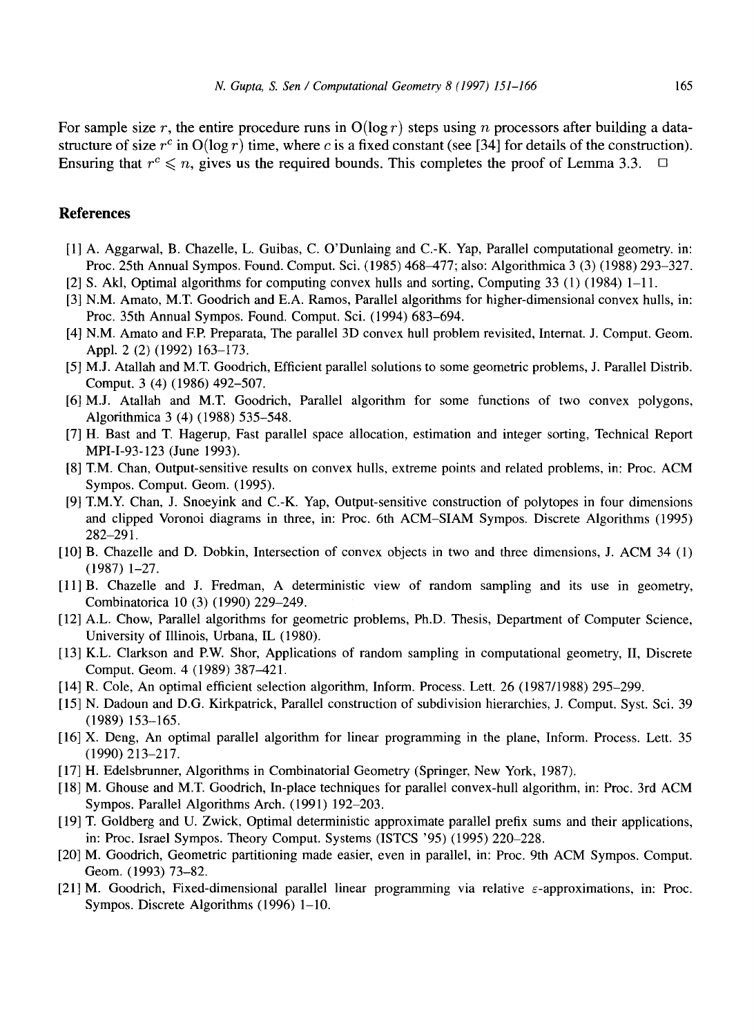For sample size r, the entire procedure runs in  $O(\log r)$  steps using n processors after building a datastructure of size  $r^c$  in  $O(\log r)$  time, where c is a fixed constant (see [34] for details of the construction). Ensuring that  $r^c \leq n$ , gives us the required bounds. This completes the proof of Lemma 3.3.

## **References**

- [1] A. Aggarwal, B. Chazelle, L. Guibas, C. O'Dunlaing and C.-K. Yap, Parallel computational geometry, in: Proc. 25th Annual Sympos. Found. Comput. Sci. (1985) 468-477; also: Algorithmica 3 (3) (1988) 293-327.
- [2] S. Akl, Optimal algorithms for computing convex hulls and sorting, Computing 33 (1) (1984) 1-11.
- [3] N.M. Amato, M.T. Goodrich and E.A. Ramos, Parallel algorithms for higher-dimensional convex hulls, in: Proc. 35th Annual Sympos. Found. Comput. Sci. (1994) 683-694.
- [4] N.M. Amato and EP. Preparata, The parallel 3D convex hull problem revisited, Internat. J. Comput. Geom. Appl. 2 (2) (1992) 163-173.
- [5] M.J. Atallah and M.T. Goodrich, Efficient parallel solutions to some geometric problems, J. Parallel Distrib. Comput. 3 (4) (1986) 492-507.
- [6] M.J. Atallah and M.T. Goodrich, Parallel algorithm for some functions of two convex polygons, Algorithmica 3 (4) (1988) 535-548.
- [7] H. Bast and T. Hagerup, Fast parallel space allocation, estimation and integer sorting, Technical Report MPI-I-93-123 (June 1993).
- [8] T.M. Chan, Output-sensitive results on convex hulls, extreme points and related problems, in: Proc. ACM Sympos. Comput. Geom. (1995).
- [9] T.M.Y. Chan, J. Snoeyink and C.-K. Yap, Output-sensitive construction of polytopes in four dimensions and clipped Voronoi diagrams in three, in: Proc. 6th ACM-SIAM Sympos. Discrete Algorithms (1995) 282-291.
- [10] B. Chazelle and D. Dobkin, Intersection of convex objects in two and three dimensions, J. ACM 34 (1) (1987) 1-27.
- [11] B. Chazelle and J. Fredman, A deterministic view of random sampling and its use in geometry, Combinatorica 10 (3) (1990) 229-249.
- [12] A.L. Chow, Parallel algorithms for geometric problems, Ph.D. Thesis, Department of Computer Science, University of Illinois, Urbana, IL (1980).
- [13] K.L. Clarkson and P.W. Shor, Applications of random sampling in computational geometry, II, Discrete Comput. Geom. 4 (1989) 387-421.
- [14] R. Cole, An optimal efficient selection algorithm, Inform. Process. Lett. 26 (1987/1988) 295-299.
- [15] N. Dadoun and D.G. Kirkpatrick, Parallel construction of subdivision hierarchies, J. Comput. Syst. Sci. 39 (1989) 153-165.
- [16] X. Deng, An optimal parallel algorithm for linear programming in the plane, Inform. Process. Lett. 35 (1990) 213-217.
- [17] H. Edelsbrunner, Algorithms in Combinatorial Geometry (Springer, New York, 1987).
- [18] M. Ghouse and M.T. Goodrich, In-place techniques for parallel convex-hull algorithm, in: Proc. 3rd ACM Sympos. Parallel Algorithms Arch. (1991) 192-203.
- [19] T. Goldberg and U. Zwick, Optimal deterministic approximate parallel prefix sums and their applications, in: Proc. Israel Sympos. Theory Comput. Systems (ISTCS '95) (1995) 220-228.
- [20] M. Goodrich, Geometric partitioning made easier, even in parallel, in: Proc. 9th ACM Sympos. Comput. Geom. (1993) 73-82.
- [21] M. Goodrich, Fixed-dimensional parallel linear programming via relative  $\varepsilon$ -approximations, in: Proc. Sympos. Discrete Algorithms (1996) 1–10.